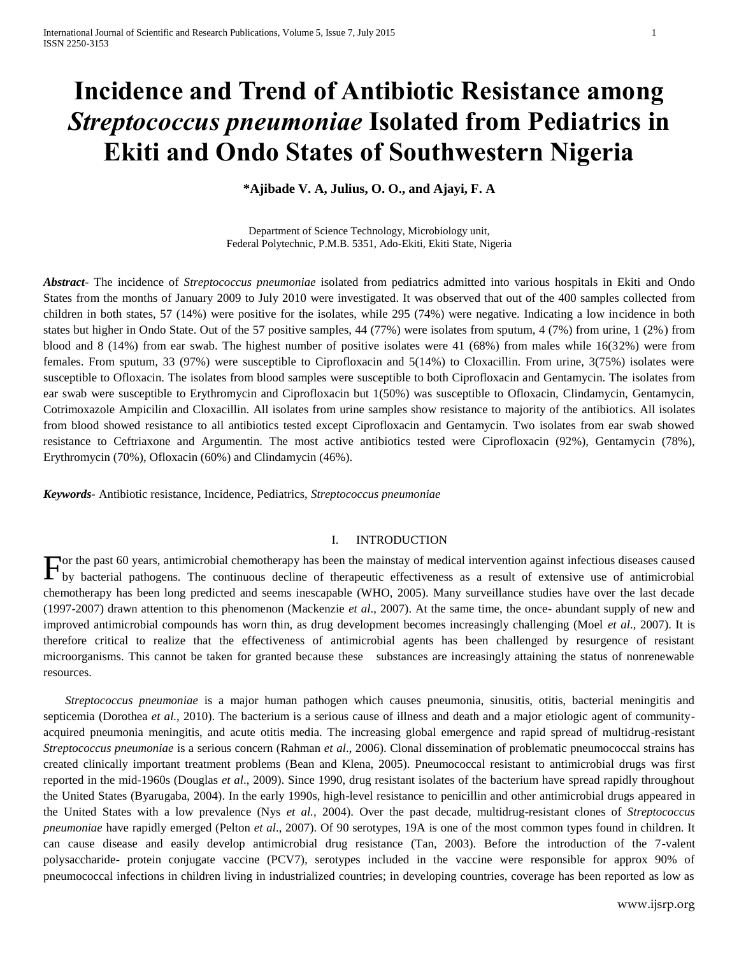# **Incidence and Trend of Antibiotic Resistance among**  *Streptococcus pneumoniae* **Isolated from Pediatrics in Ekiti and Ondo States of Southwestern Nigeria**

**\*Ajibade V. A, Julius, O. O., and Ajayi, F. A**

Department of Science Technology, Microbiology unit, Federal Polytechnic, P.M.B. 5351, Ado-Ekiti, Ekiti State, Nigeria

*Abstract*- The incidence of *Streptococcus pneumoniae* isolated from pediatrics admitted into various hospitals in Ekiti and Ondo States from the months of January 2009 to July 2010 were investigated. It was observed that out of the 400 samples collected from children in both states, 57 (14%) were positive for the isolates, while 295 (74%) were negative. Indicating a low incidence in both states but higher in Ondo State. Out of the 57 positive samples, 44 (77%) were isolates from sputum, 4 (7%) from urine, 1 (2%) from blood and 8 (14%) from ear swab. The highest number of positive isolates were 41 (68%) from males while 16(32%) were from females. From sputum, 33 (97%) were susceptible to Ciprofloxacin and 5(14%) to Cloxacillin. From urine, 3(75%) isolates were susceptible to Ofloxacin. The isolates from blood samples were susceptible to both Ciprofloxacin and Gentamycin. The isolates from ear swab were susceptible to Erythromycin and Ciprofloxacin but 1(50%) was susceptible to Ofloxacin, Clindamycin, Gentamycin, Cotrimoxazole Ampicilin and Cloxacillin. All isolates from urine samples show resistance to majority of the antibiotics. All isolates from blood showed resistance to all antibiotics tested except Ciprofloxacin and Gentamycin. Two isolates from ear swab showed resistance to Ceftriaxone and Argumentin. The most active antibiotics tested were Ciprofloxacin (92%), Gentamycin (78%), Erythromycin (70%), Ofloxacin (60%) and Clindamycin (46%).

*Keywords-* Antibiotic resistance, Incidence, Pediatrics, *Streptococcus pneumoniae*

## I. INTRODUCTION

or the past 60 years, antimicrobial chemotherapy has been the mainstay of medical intervention against infectious diseases caused For the past 60 years, antimicrobial chemotherapy has been the mainstay of medical intervention against infectious diseases caused<br>by bacterial pathogens. The continuous decline of therapeutic effectiveness as a result of chemotherapy has been long predicted and seems inescapable (WHO, 2005). Many surveillance studies have over the last decade (1997-2007) drawn attention to this phenomenon (Mackenzie *et al*., 2007). At the same time, the once- abundant supply of new and improved antimicrobial compounds has worn thin, as drug development becomes increasingly challenging (Moel *et al*., 2007). It is therefore critical to realize that the effectiveness of antimicrobial agents has been challenged by resurgence of resistant microorganisms. This cannot be taken for granted because these substances are increasingly attaining the status of nonrenewable resources.

*Streptococcus pneumoniae* is a major human pathogen which causes pneumonia, sinusitis, otitis, bacterial meningitis and septicemia (Dorothea *et al.*, 2010). The bacterium is a serious cause of illness and death and a major etiologic agent of communityacquired pneumonia meningitis, and acute otitis media. The increasing global emergence and rapid spread of multidrug-resistant *Streptococcus pneumoniae* is a serious concern (Rahman *et al*., 2006). Clonal dissemination of problematic pneumococcal strains has created clinically important treatment problems (Bean and Klena, 2005). Pneumococcal resistant to antimicrobial drugs was first reported in the mid-1960s (Douglas *et al*., 2009). Since 1990, drug resistant isolates of the bacterium have spread rapidly throughout the United States (Byarugaba, 2004). In the early 1990s, high-level resistance to penicillin and other antimicrobial drugs appeared in the United States with a low prevalence (Nys *et al.,* 2004). Over the past decade, multidrug-resistant clones of *Streptococcus pneumoniae* have rapidly emerged (Pelton *et al*., 2007). Of 90 serotypes, 19A is one of the most common types found in children. It can cause disease and easily develop antimicrobial drug resistance (Tan, 2003). Before the introduction of the 7-valent polysaccharide- protein conjugate vaccine (PCV7), serotypes included in the vaccine were responsible for approx 90% of pneumococcal infections in children living in industrialized countries; in developing countries, coverage has been reported as low as

www.ijsrp.org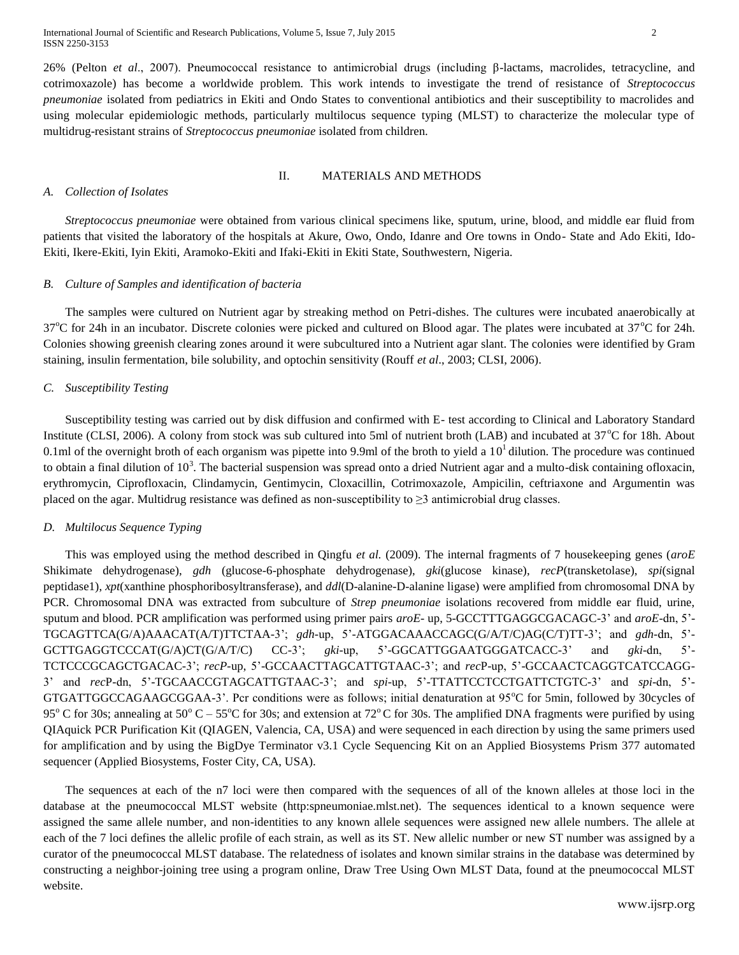26% (Pelton *et al*., 2007). Pneumococcal resistance to antimicrobial drugs (including β-lactams, macrolides, tetracycline, and cotrimoxazole) has become a worldwide problem. This work intends to investigate the trend of resistance of *Streptococcus pneumoniae* isolated from pediatrics in Ekiti and Ondo States to conventional antibiotics and their susceptibility to macrolides and using molecular epidemiologic methods, particularly multilocus sequence typing (MLST) to characterize the molecular type of multidrug-resistant strains of *Streptococcus pneumoniae* isolated from children.

#### II. MATERIALS AND METHODS

#### *A. Collection of Isolates*

*Streptococcus pneumoniae* were obtained from various clinical specimens like, sputum, urine, blood, and middle ear fluid from patients that visited the laboratory of the hospitals at Akure, Owo, Ondo, Idanre and Ore towns in Ondo- State and Ado Ekiti, Ido-Ekiti, Ikere-Ekiti, Iyin Ekiti, Aramoko-Ekiti and Ifaki-Ekiti in Ekiti State, Southwestern, Nigeria.

### *B. Culture of Samples and identification of bacteria*

The samples were cultured on Nutrient agar by streaking method on Petri-dishes. The cultures were incubated anaerobically at  $37^{\circ}$ C for 24h in an incubator. Discrete colonies were picked and cultured on Blood agar. The plates were incubated at  $37^{\circ}$ C for 24h. Colonies showing greenish clearing zones around it were subcultured into a Nutrient agar slant. The colonies were identified by Gram staining, insulin fermentation, bile solubility, and optochin sensitivity (Rouff *et al*., 2003; CLSI, 2006).

### *C. Susceptibility Testing*

Susceptibility testing was carried out by disk diffusion and confirmed with E- test according to Clinical and Laboratory Standard Institute (CLSI, 2006). A colony from stock was sub cultured into 5ml of nutrient broth (LAB) and incubated at  $37^{\circ}$ C for 18h. About 0.1ml of the overnight broth of each organism was pipette into 9.9ml of the broth to yield a  $10<sup>1</sup>$  dilution. The procedure was continued to obtain a final dilution of  $10^3$ . The bacterial suspension was spread onto a dried Nutrient agar and a multo-disk containing ofloxacin, erythromycin, Ciprofloxacin, Clindamycin, Gentimycin, Cloxacillin, Cotrimoxazole, Ampicilin, ceftriaxone and Argumentin was placed on the agar. Multidrug resistance was defined as non-susceptibility to  $\geq$ 3 antimicrobial drug classes.

### *D. Multilocus Sequence Typing*

This was employed using the method described in Qingfu *et al.* (2009). The internal fragments of 7 housekeeping genes (*aroE* Shikimate dehydrogenase), *gdh* (glucose-6-phosphate dehydrogenase), *gki*(glucose kinase), *recP*(transketolase), *spi*(signal peptidase1), *xpt*(xanthine phosphoribosyltransferase), and *ddl*(D-alanine-D-alanine ligase) were amplified from chromosomal DNA by PCR. Chromosomal DNA was extracted from subculture of *Strep pneumoniae* isolations recovered from middle ear fluid, urine, sputum and blood. PCR amplification was performed using primer pairs *aroE-* up, 5-GCCTTTGAGGCGACAGC-3' and *aroE-*dn, 5'- TGCAGTTCA(G/A)AAACAT(A/T)TTCTAA-3'; *gdh-*up, 5'-ATGGACAAACCAGC(G/A/T/C)AG(C/T)TT-3'; and *gdh-*dn, 5'- GCTTGAGGTCCCAT(G/A)CT(G/A/T/C) CC-3'; *gki-*up, 5'-GGCATTGGAATGGGATCACC-3' and *gki*-dn, 5'- TCTCCCGCAGCTGACAC-3'; *recP-*up, 5'-GCCAACTTAGCATTGTAAC-3'; and *rec*P-up, 5'-GCCAACTCAGGTCATCCAGG-3' and *rec*P*-*dn, 5'-TGCAACCGTAGCATTGTAAC-3'; and *spi-*up, 5'-TTATTCCTCCTGATTCTGTC-3' and *spi*-dn, 5'- GTGATTGGCCAGAAGCGGAA-3'. Pcr conditions were as follows; initial denaturation at  $95^{\circ}$ C for 5min, followed by 30cycles of 95<sup>o</sup> C for 30s; annealing at 50<sup>o</sup> C – 55<sup>o</sup>C for 30s; and extension at 72<sup>o</sup>C for 30s. The amplified DNA fragments were purified by using QIAquick PCR Purification Kit (QIAGEN, Valencia, CA, USA) and were sequenced in each direction by using the same primers used for amplification and by using the BigDye Terminator v3.1 Cycle Sequencing Kit on an Applied Biosystems Prism 377 automated sequencer (Applied Biosystems, Foster City, CA, USA).

The sequences at each of the n7 loci were then compared with the sequences of all of the known alleles at those loci in the database at the pneumococcal MLST website (http:spneumoniae.mlst.net). The sequences identical to a known sequence were assigned the same allele number, and non-identities to any known allele sequences were assigned new allele numbers. The allele at each of the 7 loci defines the allelic profile of each strain, as well as its ST. New allelic number or new ST number was assigned by a curator of the pneumococcal MLST database. The relatedness of isolates and known similar strains in the database was determined by constructing a neighbor-joining tree using a program online, Draw Tree Using Own MLST Data, found at the pneumococcal MLST website.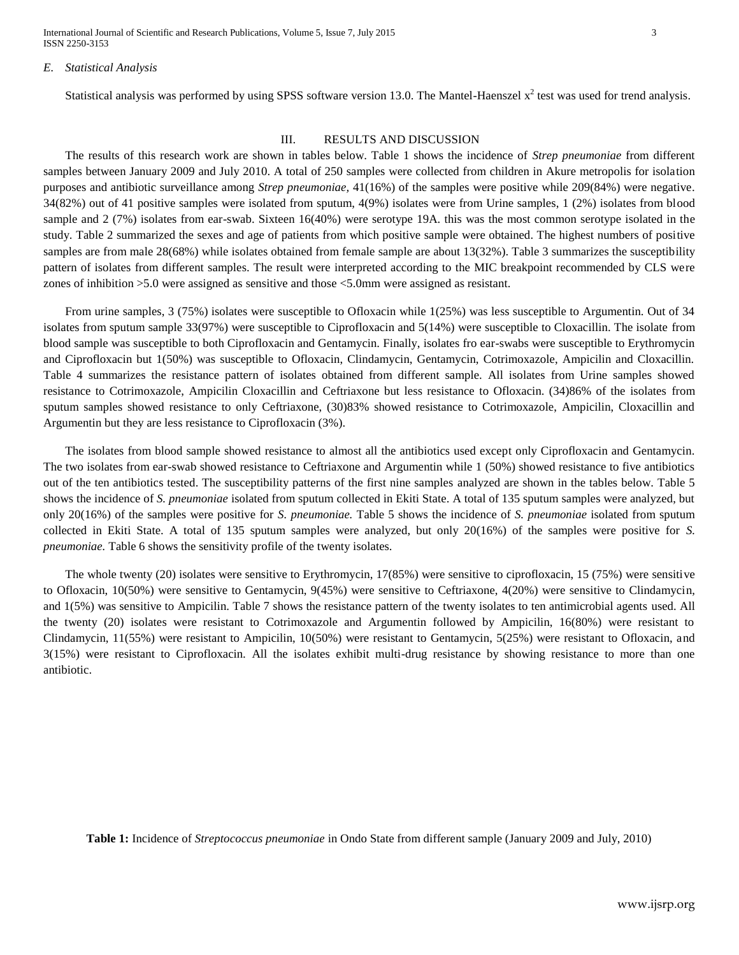International Journal of Scientific and Research Publications, Volume 5, Issue 7, July 2015 3 ISSN 2250-3153

#### *E. Statistical Analysis*

Statistical analysis was performed by using SPSS software version 13.0. The Mantel-Haenszel  $x^2$  test was used for trend analysis.

## III. RESULTS AND DISCUSSION

The results of this research work are shown in tables below. Table 1 shows the incidence of *Strep pneumoniae* from different samples between January 2009 and July 2010. A total of 250 samples were collected from children in Akure metropolis for isolation purposes and antibiotic surveillance among *Strep pneumoniae,* 41(16%) of the samples were positive while 209(84%) were negative. 34(82%) out of 41 positive samples were isolated from sputum, 4(9%) isolates were from Urine samples, 1 (2%) isolates from blood sample and 2 (7%) isolates from ear-swab. Sixteen 16(40%) were serotype 19A. this was the most common serotype isolated in the study. Table 2 summarized the sexes and age of patients from which positive sample were obtained. The highest numbers of positive samples are from male 28(68%) while isolates obtained from female sample are about 13(32%). Table 3 summarizes the susceptibility pattern of isolates from different samples. The result were interpreted according to the MIC breakpoint recommended by CLS were zones of inhibition >5.0 were assigned as sensitive and those <5.0mm were assigned as resistant.

From urine samples, 3 (75%) isolates were susceptible to Ofloxacin while 1(25%) was less susceptible to Argumentin. Out of 34 isolates from sputum sample 33(97%) were susceptible to Ciprofloxacin and 5(14%) were susceptible to Cloxacillin. The isolate from blood sample was susceptible to both Ciprofloxacin and Gentamycin. Finally, isolates fro ear-swabs were susceptible to Erythromycin and Ciprofloxacin but 1(50%) was susceptible to Ofloxacin, Clindamycin, Gentamycin, Cotrimoxazole, Ampicilin and Cloxacillin. Table 4 summarizes the resistance pattern of isolates obtained from different sample. All isolates from Urine samples showed resistance to Cotrimoxazole, Ampicilin Cloxacillin and Ceftriaxone but less resistance to Ofloxacin. (34)86% of the isolates from sputum samples showed resistance to only Ceftriaxone, (30)83% showed resistance to Cotrimoxazole, Ampicilin, Cloxacillin and Argumentin but they are less resistance to Ciprofloxacin (3%).

The isolates from blood sample showed resistance to almost all the antibiotics used except only Ciprofloxacin and Gentamycin. The two isolates from ear-swab showed resistance to Ceftriaxone and Argumentin while 1 (50%) showed resistance to five antibiotics out of the ten antibiotics tested. The susceptibility patterns of the first nine samples analyzed are shown in the tables below. Table 5 shows the incidence of *S. pneumoniae* isolated from sputum collected in Ekiti State. A total of 135 sputum samples were analyzed, but only 20(16%) of the samples were positive for *S. pneumoniae.* Table 5 shows the incidence of *S. pneumoniae* isolated from sputum collected in Ekiti State. A total of 135 sputum samples were analyzed, but only 20(16%) of the samples were positive for *S. pneumoniae.* Table 6 shows the sensitivity profile of the twenty isolates.

The whole twenty (20) isolates were sensitive to Erythromycin, 17(85%) were sensitive to ciprofloxacin, 15 (75%) were sensitive to Ofloxacin, 10(50%) were sensitive to Gentamycin, 9(45%) were sensitive to Ceftriaxone, 4(20%) were sensitive to Clindamycin, and 1(5%) was sensitive to Ampicilin. Table 7 shows the resistance pattern of the twenty isolates to ten antimicrobial agents used. All the twenty (20) isolates were resistant to Cotrimoxazole and Argumentin followed by Ampicilin, 16(80%) were resistant to Clindamycin, 11(55%) were resistant to Ampicilin, 10(50%) were resistant to Gentamycin, 5(25%) were resistant to Ofloxacin, and 3(15%) were resistant to Ciprofloxacin. All the isolates exhibit multi-drug resistance by showing resistance to more than one antibiotic.

**Table 1:** Incidence of *Streptococcus pneumoniae* in Ondo State from different sample (January 2009 and July, 2010)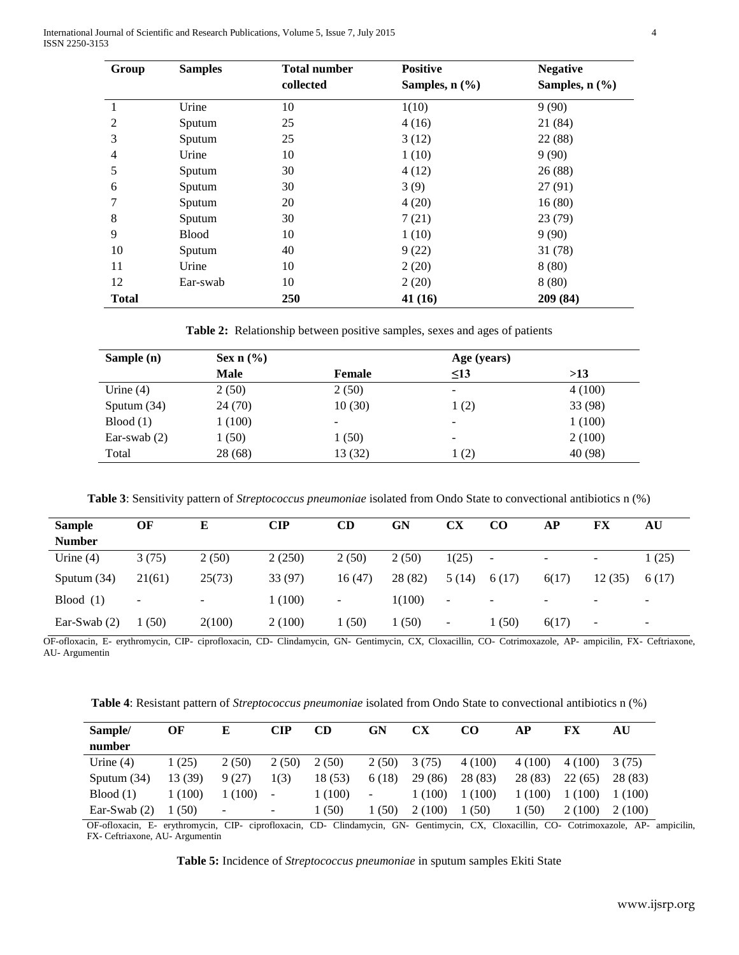International Journal of Scientific and Research Publications, Volume 5, Issue 7, July 2015 4 ISSN 2250-3153

| Group        | <b>Samples</b> | <b>Total number</b> | <b>Positive</b>              | <b>Negative</b>              |
|--------------|----------------|---------------------|------------------------------|------------------------------|
|              |                | collected           | Samples, $n$ $(\frac{6}{6})$ | Samples, $n$ $(\frac{9}{6})$ |
|              | Urine          | 10                  | 1(10)                        | 9(90)                        |
| 2            | Sputum         | 25                  | 4(16)                        | 21 (84)                      |
| 3            | Sputum         | 25                  | 3(12)                        | 22 (88)                      |
| 4            | Urine          | 10                  | 1(10)                        | 9(90)                        |
| 5            | Sputum         | 30                  | 4(12)                        | 26(88)                       |
| 6            | Sputum         | 30                  | 3(9)                         | 27(91)                       |
|              | Sputum         | 20                  | 4(20)                        | 16(80)                       |
| 8            | Sputum         | 30                  | 7(21)                        | 23(79)                       |
| 9            | <b>Blood</b>   | 10                  | 1(10)                        | 9(90)                        |
| 10           | Sputum         | 40                  | 9(22)                        | 31(78)                       |
| 11           | Urine          | 10                  | 2(20)                        | 8(80)                        |
| 12           | Ear-swab       | 10                  | 2(20)                        | 8(80)                        |
| <b>Total</b> |                | 250                 | 41(16)                       | 209 (84)                     |

**Table 2:** Relationship between positive samples, sexes and ages of patients

| Sample (n)     | Sex $n$ (%) |         | Age (years)              |         |
|----------------|-------------|---------|--------------------------|---------|
|                | Male        | Female  | $\leq$ 13                | >13     |
| Urine $(4)$    | 2(50)       | 2(50)   | -                        | 4(100)  |
| Sputum $(34)$  | 24 (70)     | 10(30)  | 1(2)                     | 33 (98) |
| Blood(1)       | 1 (100)     | -       | $\overline{\phantom{a}}$ | 1(100)  |
| Ear-swab $(2)$ | 1 (50)      | 1(50)   | -                        | 2(100)  |
| Total          | 28 (68)     | 13 (32) | 1(2)                     | 40 (98) |

**Table 3**: Sensitivity pattern of *Streptococcus pneumoniae* isolated from Ondo State to convectional antibiotics n (%)

| <b>Sample</b>  | OF                       | Е      | CIP     | CD                       | GN      | CХ              | CO                       | АP                       | FX                       | AU                       |
|----------------|--------------------------|--------|---------|--------------------------|---------|-----------------|--------------------------|--------------------------|--------------------------|--------------------------|
| <b>Number</b>  |                          |        |         |                          |         |                 |                          |                          |                          |                          |
| Urine $(4)$    | 3(75)                    | 2(50)  | 2(250)  | 2(50)                    | 2(50)   | 1(25)           | $\overline{\phantom{a}}$ |                          | $\overline{\phantom{a}}$ | 1(25)                    |
| Sputum $(34)$  | 21(61)                   | 25(73) | 33 (97) | 16(47)                   | 28 (82) | 5(14)           | 6(17)                    | 6(17)                    | 12(35)                   | 6(17)                    |
| Blood $(1)$    | $\overline{\phantom{a}}$ | -      | 1(100)  | $\overline{\phantom{a}}$ | 1(100)  | $\qquad \qquad$ | $\overline{\phantom{a}}$ | $\overline{\phantom{0}}$ | $\sim$                   | $\overline{\phantom{a}}$ |
| Ear-Swab $(2)$ | (50)                     | 2(100) | 2(100)  | (50)                     | (50)    | ۰               | (50)                     | 6(17)                    | -                        | $\overline{\phantom{a}}$ |

OF-ofloxacin, E- erythromycin, CIP- ciprofloxacin, CD- Clindamycin, GN- Gentimycin, CX, Cloxacillin, CO- Cotrimoxazole, AP- ampicilin, FX- Ceftriaxone, AU- Argumentin

**Table 4**: Resistant pattern of *Streptococcus pneumoniae* isolated from Ondo State to convectional antibiotics n (%)

| Sample/<br>number | OF      | Е     | $\mathbf{CIP}$           | CD      | GN                       | <b>CX</b> | CO      | АP      | FX      | AU      |
|-------------------|---------|-------|--------------------------|---------|--------------------------|-----------|---------|---------|---------|---------|
| Urine $(4)$       | 1 (25)  | 2(50) | 2(50)                    | 2(50)   | 2(50)                    | 3(75)     | 4(100)  | 4(100)  | 4 (100) | 3(75)   |
| Sputum $(34)$     | 13 (39) | 9(27) | 1(3)                     | 18 (53) | 6(18)                    | 29(86)    | 28 (83) | 28 (83) | 22(65)  | 28 (83) |
| Blood(1)          | 1 (100) | (100) | $\overline{\phantom{a}}$ | 1(100)  | $\overline{\phantom{a}}$ | (100)     | 1(100)  | (100)   | 1(100)  | (100)   |
| Ear-Swab $(2)$    | (50)    | -     | $\overline{\phantom{a}}$ | (50)    | (50)                     | 2(100)    | (50)    | (50)    | 2(100)  | 2(100)  |

OF-ofloxacin, E- erythromycin, CIP- ciprofloxacin, CD- Clindamycin, GN- Gentimycin, CX, Cloxacillin, CO- Cotrimoxazole, AP- ampicilin, FX- Ceftriaxone, AU- Argumentin

**Table 5:** Incidence of *Streptococcus pneumoniae* in sputum samples Ekiti State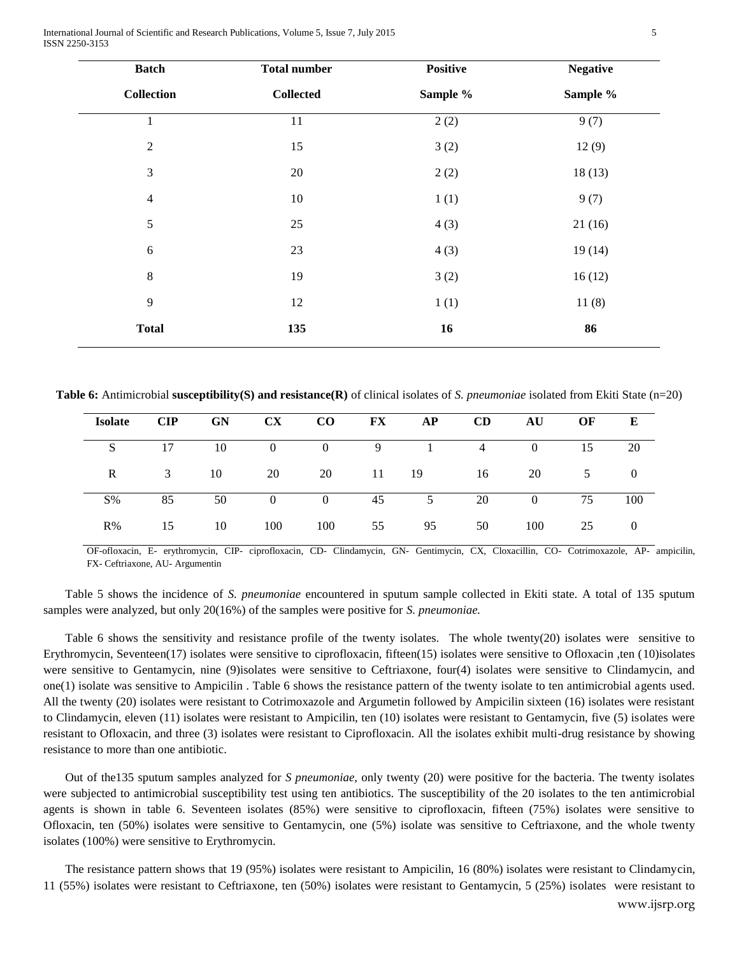**Table 6:** Antimicrobial **susceptibility(S) and resistance(R)** of clinical isolates of *S. pneumoniae* isolated from Ekiti State (n=20)

1 11  $2(2)$  9(7)

2 15 15 3 (2) 12 (9)

3 20 2 (2) 18 (13)

4 10 1(1) 9(7)

5 25 25 4 (3) 21 (16)

6 23 23 4 (3)  $19(14)$ 

8 19 19 3 (2) 16 (12)

9 12 1 (1) 11 (8)

**Total 135 16 86**

**Positive** 

**Sample %**

| <b>Isolate</b> | $\mathbf{CIP}$ | <b>GN</b> | $\mathbf{C}\mathbf{X}$ | $\bf{CO}$      | $\mathbf{FX}$ | AP    | CD       | AU             | OF | E   |
|----------------|----------------|-----------|------------------------|----------------|---------------|-------|----------|----------------|----|-----|
| S.             | 17             | 10        | $\overline{0}$         | $\overline{0}$ | 9             |       | $\sim$ 4 | $\Omega$       | 15 | 20  |
| R              | 3              | - 10      | 20                     | - 20           |               | 11 19 | 16       | 20             | 5  |     |
| $S\%$          | 85             | 50        | $\overline{0}$         | $\overline{0}$ | 45            | 5     | 20       | $\overline{0}$ | 75 | 100 |
| R%             | 15             | 10        | 100                    | 100            | 55            | 95    | 50       | 100            | 25 |     |

OF-ofloxacin, E- erythromycin, CIP- ciprofloxacin, CD- Clindamycin, GN- Gentimycin, CX, Cloxacillin, CO- Cotrimoxazole, AP- ampicilin, FX- Ceftriaxone, AU- Argumentin

Table 5 shows the incidence of *S. pneumoniae* encountered in sputum sample collected in Ekiti state. A total of 135 sputum samples were analyzed, but only 20(16%) of the samples were positive for *S. pneumoniae.*

Table 6 shows the sensitivity and resistance profile of the twenty isolates. The whole twenty(20) isolates were sensitive to Erythromycin, Seventeen(17) isolates were sensitive to ciprofloxacin, fifteen(15) isolates were sensitive to Ofloxacin ,ten (10)isolates were sensitive to Gentamycin, nine (9)isolates were sensitive to Ceftriaxone, four(4) isolates were sensitive to Clindamycin, and one(1) isolate was sensitive to Ampicilin . Table 6 shows the resistance pattern of the twenty isolate to ten antimicrobial agents used. All the twenty (20) isolates were resistant to Cotrimoxazole and Argumetin followed by Ampicilin sixteen (16) isolates were resistant to Clindamycin, eleven (11) isolates were resistant to Ampicilin, ten (10) isolates were resistant to Gentamycin, five (5) isolates were resistant to Ofloxacin, and three (3) isolates were resistant to Ciprofloxacin. All the isolates exhibit multi-drug resistance by showing resistance to more than one antibiotic.

Out of the135 sputum samples analyzed for *S pneumoniae,* only twenty (20) were positive for the bacteria. The twenty isolates were subjected to antimicrobial susceptibility test using ten antibiotics. The susceptibility of the 20 isolates to the ten antimicrobial agents is shown in table 6. Seventeen isolates (85%) were sensitive to ciprofloxacin, fifteen (75%) isolates were sensitive to Ofloxacin, ten (50%) isolates were sensitive to Gentamycin, one (5%) isolate was sensitive to Ceftriaxone, and the whole twenty isolates (100%) were sensitive to Erythromycin.

The resistance pattern shows that 19 (95%) isolates were resistant to Ampicilin, 16 (80%) isolates were resistant to Clindamycin, 11 (55%) isolates were resistant to Ceftriaxone, ten (50%) isolates were resistant to Gentamycin, 5 (25%) isolates were resistant to

**Total number**

**Collected**

**Batch** 

**Collection**

**Negative** 

**Sample %**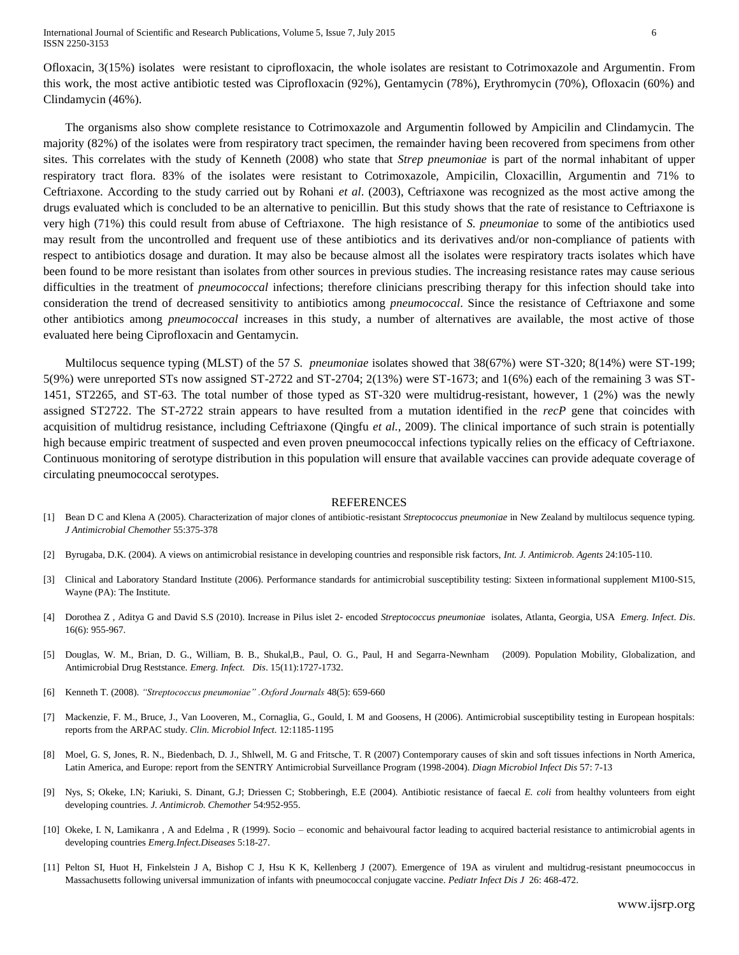Ofloxacin, 3(15%) isolates were resistant to ciprofloxacin, the whole isolates are resistant to Cotrimoxazole and Argumentin. From this work, the most active antibiotic tested was Ciprofloxacin (92%), Gentamycin (78%), Erythromycin (70%), Ofloxacin (60%) and Clindamycin (46%).

The organisms also show complete resistance to Cotrimoxazole and Argumentin followed by Ampicilin and Clindamycin. The majority (82%) of the isolates were from respiratory tract specimen, the remainder having been recovered from specimens from other sites. This correlates with the study of Kenneth (2008) who state that *Strep pneumoniae* is part of the normal inhabitant of upper respiratory tract flora. 83% of the isolates were resistant to Cotrimoxazole, Ampicilin, Cloxacillin, Argumentin and 71% to Ceftriaxone. According to the study carried out by Rohani *et al*. (2003), Ceftriaxone was recognized as the most active among the drugs evaluated which is concluded to be an alternative to penicillin. But this study shows that the rate of resistance to Ceftriaxone is very high (71%) this could result from abuse of Ceftriaxone. The high resistance of *S. pneumoniae* to some of the antibiotics used may result from the uncontrolled and frequent use of these antibiotics and its derivatives and/or non-compliance of patients with respect to antibiotics dosage and duration. It may also be because almost all the isolates were respiratory tracts isolates which have been found to be more resistant than isolates from other sources in previous studies. The increasing resistance rates may cause serious difficulties in the treatment of *pneumococcal* infections; therefore clinicians prescribing therapy for this infection should take into consideration the trend of decreased sensitivity to antibiotics among *pneumococcal*. Since the resistance of Ceftriaxone and some other antibiotics among *pneumococcal* increases in this study, a number of alternatives are available, the most active of those evaluated here being Ciprofloxacin and Gentamycin.

Multilocus sequence typing (MLST) of the 57 *S. pneumoniae* isolates showed that 38(67%) were ST-320; 8(14%) were ST-199; 5(9%) were unreported STs now assigned ST-2722 and ST-2704; 2(13%) were ST-1673; and 1(6%) each of the remaining 3 was ST-1451, ST2265, and ST-63. The total number of those typed as ST-320 were multidrug-resistant, however, 1 (2%) was the newly assigned ST2722. The ST-2722 strain appears to have resulted from a mutation identified in the *recP* gene that coincides with acquisition of multidrug resistance, including Ceftriaxone (Qingfu *et al.,* 2009). The clinical importance of such strain is potentially high because empiric treatment of suspected and even proven pneumococcal infections typically relies on the efficacy of Ceftriaxone. Continuous monitoring of serotype distribution in this population will ensure that available vaccines can provide adequate coverage of circulating pneumococcal serotypes.

#### **REFERENCES**

- [1] Bean D C and Klena A (2005). Characterization of major clones of antibiotic-resistant *Streptococcus pneumoniae* in New Zealand by multilocus sequence typing. *J Antimicrobial Chemother* 55:375-378
- [2] Byrugaba, D.K. (2004). A views on antimicrobial resistance in developing countries and responsible risk factors, *Int. J. Antimicrob. Agents* 24:105-110.
- [3] Clinical and Laboratory Standard Institute (2006). Performance standards for antimicrobial susceptibility testing: Sixteen informational supplement M100-S15, Wayne (PA): The Institute.
- [4] Dorothea Z , Aditya G and David S.S (2010). Increase in Pilus islet 2- encoded *Streptococcus pneumoniae* isolates, Atlanta, Georgia, USA *Emerg. Infect. Dis*. 16(6): 955-967.
- [5] Douglas, W. M., Brian, D. G., William, B. B., Shukal,B., Paul, O. G., Paul, H and Segarra-Newnham (2009). Population Mobility, Globalization, and Antimicrobial Drug Reststance. *Emerg. Infect. Dis*. 15(11):1727-1732.
- [6] Kenneth T. (2008). *"Streptococcus pneumoniae" .Oxford Journals* 48(5): 659-660
- [7] Mackenzie, F. M., Bruce, J., Van Looveren, M., Cornaglia, G., Gould, I. M and Goosens, H (2006). Antimicrobial susceptibility testing in European hospitals: reports from the ARPAC study. *Clin. Microbiol Infect.* 12:1185-1195
- [8] Moel, G. S, Jones, R. N., Biedenbach, D. J., Shlwell, M. G and Fritsche, T. R (2007) Contemporary causes of skin and soft tissues infections in North America, Latin America, and Europe: report from the SENTRY Antimicrobial Surveillance Program (1998-2004). *Diagn Microbiol Infect Dis* 57: 7-13
- [9] Nys, S; Okeke, I.N; Kariuki, S. Dinant, G.J; Driessen C; Stobberingh, E.E (2004). Antibiotic resistance of faecal *E. coli* from healthy volunteers from eight developing countries. *J. Antimicrob. Chemother* 54:952-955.
- [10] Okeke, I. N, Lamikanra , A and Edelma , R (1999). Socio economic and behaivoural factor leading to acquired bacterial resistance to antimicrobial agents in developing countries *Emerg.Infect.Diseases* 5:18-27.
- [11] Pelton SI, Huot H, Finkelstein J A, Bishop C J, Hsu K K, Kellenberg J (2007). Emergence of 19A as virulent and multidrug-resistant pneumococcus in Massachusetts following universal immunization of infants with pneumococcal conjugate vaccine. *Pediatr Infect Dis J* 26: 468-472.